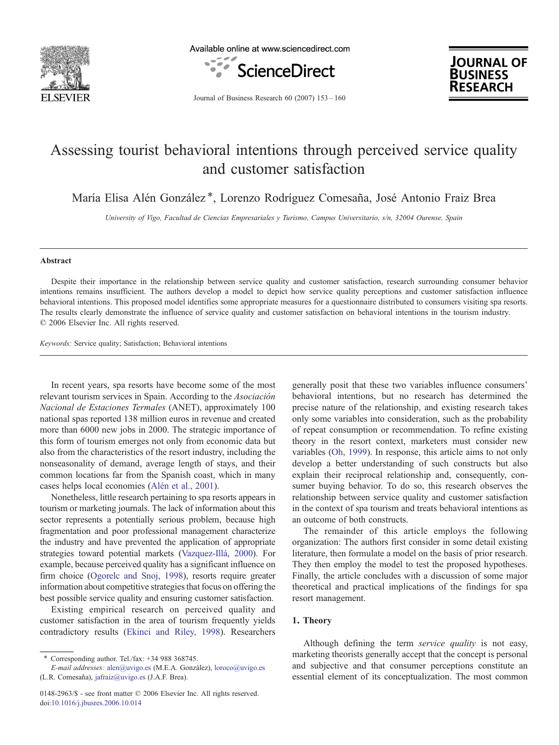

Available online at www.sciencedirect.com



**JOURNAL OF BUSINESS RESEARCH** 

Journal of Business Research 60 (2007) 153–160

## Assessing tourist behavioral intentions through perceived service quality and customer satisfaction

María Elisa Alén González<sup>\*</sup>, Lorenzo Rodríguez Comesaña, José Antonio Fraiz Brea

University of Vigo, Facultad de Ciencias Empresariales y Turismo, Campus Universitario, s/n, 32004 Ourense, Spain

## Abstract

Despite their importance in the relationship between service quality and customer satisfaction, research surrounding consumer behavior intentions remains insufficient. The authors develop a model to depict how service quality perceptions and customer satisfaction influence behavioral intentions. This proposed model identifies some appropriate measures for a questionnaire distributed to consumers visiting spa resorts. The results clearly demonstrate the influence of service quality and customer satisfaction on behavioral intentions in the tourism industry. © 2006 Elsevier Inc. All rights reserved.

Keywords: Service quality; Satisfaction; Behavioral intentions

In recent years, spa resorts have become some of the most relevant tourism services in Spain. According to the Asociación Nacional de Estaciones Termales (ANET), approximately 100 national spas reported 138 million euros in revenue and created more than 6000 new jobs in 2000. The strategic importance of this form of tourism emerges not only from economic data but also from the characteristics of the resort industry, including the nonseasonality of demand, average length of stays, and their common locations far from the Spanish coast, which in many cases helps local economies ([Alén et al., 2001](#page--1-0)).

Nonetheless, little research pertaining to spa resorts appears in tourism or marketing journals. The lack of information about this sector represents a potentially serious problem, because high fragmentation and poor professional management characterize the industry and have prevented the application of appropriate strategies toward potential markets ([Vazquez-Illá, 2000](#page--1-0)). For example, because perceived quality has a significant influence on firm choice [\(Ogorelc and Snoj, 1998](#page--1-0)), resorts require greater information about competitive strategies that focus on offering the best possible service quality and ensuring customer satisfaction.

Existing empirical research on perceived quality and customer satisfaction in the area of tourism frequently yields contradictory results ([Ekinci and Riley, 1998\)](#page--1-0). Researchers generally posit that these two variables influence consumers' behavioral intentions, but no research has determined the precise nature of the relationship, and existing research takes only some variables into consideration, such as the probability of repeat consumption or recommendation. To refine existing theory in the resort context, marketers must consider new variables [\(Oh, 1999](#page--1-0)). In response, this article aims to not only develop a better understanding of such constructs but also explain their reciprocal relationship and, consequently, consumer buying behavior. To do so, this research observes the relationship between service quality and customer satisfaction in the context of spa tourism and treats behavioral intentions as an outcome of both constructs.

The remainder of this article employs the following organization: The authors first consider in some detail existing literature, then formulate a model on the basis of prior research. They then employ the model to test the proposed hypotheses. Finally, the article concludes with a discussion of some major theoretical and practical implications of the findings for spa resort management.

## 1. Theory

Although defining the term service quality is not easy, marketing theorists generally accept that the concept is personal and subjective and that consumer perceptions constitute an essential element of its conceptualization. The most common

 $*$  Corresponding author. Tel./fax:  $+34$  988 368745.

E-mail addresses: [alen@uvigo.es](mailto:alen@uvigo.es) (M.E.A. González), [loroco@uvigo.es](mailto:loroco@uvigo.es) (L.R. Comesaña), [jafraiz@uvigo.es](mailto:jafraiz@uvigo.es) (J.A.F. Brea).

<sup>0148-2963/\$ -</sup> see front matter © 2006 Elsevier Inc. All rights reserved. doi:[10.1016/j.jbusres.2006.10.014](http://dx.doi.org/10.1016/j.jbusres.2006.10.014)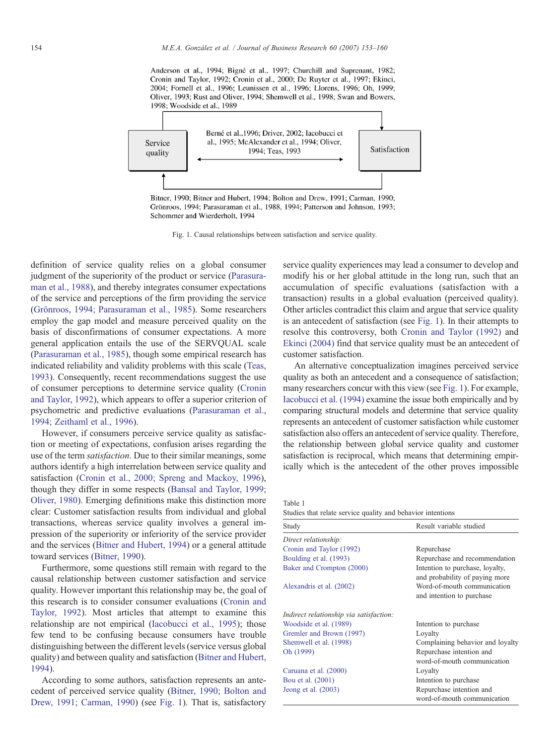Anderson et al., 1994; Bigné et al., 1997; Churchill and Suprenant, 1982; Cronin and Taylor, 1992; Cronin et al., 2000; De Ruyter et al., 1997; Ekinci, 2004; Fornell et al., 1996; Leunissen et al., 1996; Llorens, 1996; Oh, 1999; Oliver, 1993; Rust and Oliver, 1994; Shemwell et al., 1998; Swan and Bowers, 1998: Woodside et al., 1989



Grönroos, 1994; Parasuraman et al., 1988, 1994; Patterson and Johnson, 1993; Schommer and Wierderholt, 1994

Fig. 1. Causal relationships between satisfaction and service quality.

definition of service quality relies on a global consumer judgment of the superiority of the product or service ([Parasura](#page--1-0)[man et al., 1988](#page--1-0)), and thereby integrates consumer expectations of the service and perceptions of the firm providing the service ([Grönroos, 1994; Parasuraman et al., 1985\)](#page--1-0). Some researchers employ the gap model and measure perceived quality on the basis of disconfirmations of consumer expectations. A more general application entails the use of the SERVQUAL scale ([Parasuraman et al., 1985\)](#page--1-0), though some empirical research has indicated reliability and validity problems with this scale [\(Teas,](#page--1-0) [1993\)](#page--1-0). Consequently, recent recommendations suggest the use of consumer perceptions to determine service quality [\(Cronin](#page--1-0) [and Taylor, 1992\)](#page--1-0), which appears to offer a superior criterion of psychometric and predictive evaluations [\(Parasuraman et al.,](#page--1-0) [1994; Zeithaml et al., 1996\)](#page--1-0).

However, if consumers perceive service quality as satisfaction or meeting of expectations, confusion arises regarding the use of the term satisfaction. Due to their similar meanings, some authors identify a high interrelation between service quality and satisfaction ([Cronin et al., 2000; Spreng and Mackoy, 1996](#page--1-0)), though they differ in some respects [\(Bansal and Taylor, 1999;](#page--1-0) [Oliver, 1980\)](#page--1-0). Emerging definitions make this distinction more clear: Customer satisfaction results from individual and global transactions, whereas service quality involves a general impression of the superiority or inferiority of the service provider and the services ([Bitner and Hubert, 1994\)](#page--1-0) or a general attitude toward services [\(Bitner, 1990\)](#page--1-0).

Furthermore, some questions still remain with regard to the causal relationship between customer satisfaction and service quality. However important this relationship may be, the goal of this research is to consider consumer evaluations [\(Cronin and](#page--1-0) [Taylor, 1992\)](#page--1-0). Most articles that attempt to examine this relationship are not empirical ([Iacobucci et al., 1995\)](#page--1-0); those few tend to be confusing because consumers have trouble distinguishing between the different levels (service versus global quality) and between quality and satisfaction [\(Bitner and Hubert,](#page--1-0) [1994\)](#page--1-0).

According to some authors, satisfaction represents an antecedent of perceived service quality ([Bitner, 1990; Bolton and](#page--1-0) [Drew, 1991; Carman, 1990\)](#page--1-0) (see Fig. 1). That is, satisfactory

service quality experiences may lead a consumer to develop and modify his or her global attitude in the long run, such that an accumulation of specific evaluations (satisfaction with a transaction) results in a global evaluation (perceived quality). Other articles contradict this claim and argue that service quality is an antecedent of satisfaction (see Fig. 1). In their attempts to resolve this controversy, both [Cronin and Taylor \(1992\)](#page--1-0) and [Ekinci \(2004\)](#page--1-0) find that service quality must be an antecedent of customer satisfaction.

An alternative conceptualization imagines perceived service quality as both an antecedent and a consequence of satisfaction; many researchers concur with this view (see Fig. 1). For example, [Iacobucci et al. \(1994\)](#page--1-0) examine the issue both empirically and by comparing structural models and determine that service quality represents an antecedent of customer satisfaction while customer satisfaction also offers an antecedent of service quality. Therefore, the relationship between global service quality and customer satisfaction is reciprocal, which means that determining empirically which is the antecedent of the other proves impossible

Table 1 Studies that relate service quality and behavior intentions

| Study                                   | Result variable studied                                           |
|-----------------------------------------|-------------------------------------------------------------------|
| Direct relationship:                    |                                                                   |
| Cronin and Taylor (1992)                | Repurchase                                                        |
| Boulding et al. (1993)                  | Repurchase and recommendation                                     |
| Baker and Crompton (2000)               | Intention to purchase, loyalty,<br>and probability of paying more |
| Alexandris et al. (2002)                | Word-of-mouth communication<br>and intention to purchase          |
| Indirect relationship via satisfaction: |                                                                   |
| Woodside et al. (1989)                  | Intention to purchase                                             |
| Gremler and Brown (1997)                | Loyalty                                                           |
| Shemwell et al. (1998)                  | Complaining behavior and loyalty                                  |
| Oh (1999)                               | Repurchase intention and                                          |
|                                         | word-of-mouth communication                                       |
| Caruana et al. (2000)                   | Loyalty                                                           |
| Bou et al. (2001)                       | Intention to purchase                                             |
| Jeong et al. $(2003)$                   | Repurchase intention and<br>word-of-mouth communication           |